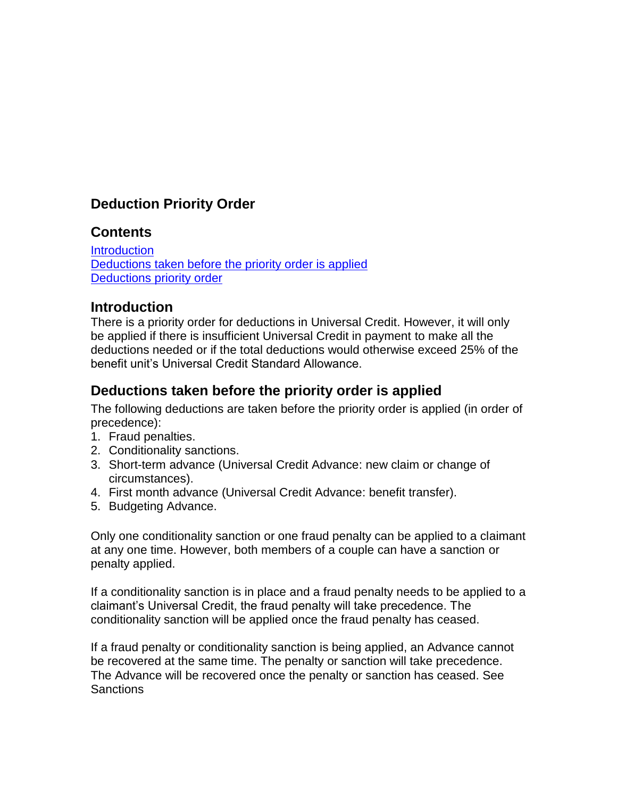# **Deduction Priority Order**

#### **Contents**

**[Introduction](#page-0-0)** [Deductions taken before the priority order is applied](#page-0-1) [Deductions priority order](#page-1-0)

### <span id="page-0-0"></span>**Introduction**

There is a priority order for deductions in Universal Credit. However, it will only be applied if there is insufficient Universal Credit in payment to make all the deductions needed or if the total deductions would otherwise exceed 25% of the benefit unit's Universal Credit Standard Allowance.

## <span id="page-0-1"></span>**Deductions taken before the priority order is applied**

The following deductions are taken before the priority order is applied (in order of precedence):

- 1. Fraud penalties.
- 2. Conditionality sanctions.
- 3. Short-term advance (Universal Credit Advance: new claim or change of circumstances).
- 4. First month advance (Universal Credit Advance: benefit transfer).
- 5. Budgeting Advance.

Only one conditionality sanction or one fraud penalty can be applied to a claimant at any one time. However, both members of a couple can have a sanction or penalty applied.

If a conditionality sanction is in place and a fraud penalty needs to be applied to a claimant's Universal Credit, the fraud penalty will take precedence. The conditionality sanction will be applied once the fraud penalty has ceased.

If a fraud penalty or conditionality sanction is being applied, an Advance cannot be recovered at the same time. The penalty or sanction will take precedence. The Advance will be recovered once the penalty or sanction has ceased. See Sanctions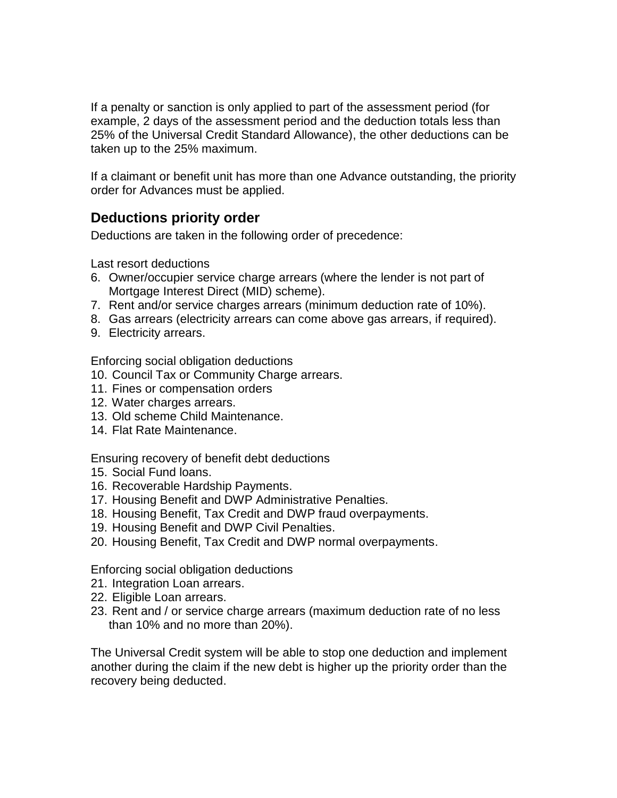If a penalty or sanction is only applied to part of the assessment period (for example, 2 days of the assessment period and the deduction totals less than 25% of the Universal Credit Standard Allowance), the other deductions can be taken up to the 25% maximum.

If a claimant or benefit unit has more than one Advance outstanding, the priority order for Advances must be applied.

### <span id="page-1-0"></span>**Deductions priority order**

Deductions are taken in the following order of precedence:

Last resort deductions

- 6. Owner/occupier service charge arrears (where the lender is not part of Mortgage Interest Direct (MID) scheme).
- 7. Rent and/or service charges arrears (minimum deduction rate of 10%).
- 8. Gas arrears (electricity arrears can come above gas arrears, if required).
- 9. Electricity arrears.

Enforcing social obligation deductions

- 10. Council Tax or Community Charge arrears.
- 11. Fines or compensation orders
- 12. Water charges arrears.
- 13. Old scheme Child Maintenance.
- 14. Flat Rate Maintenance.

Ensuring recovery of benefit debt deductions

- 15. Social Fund loans.
- 16. Recoverable Hardship Payments.
- 17. Housing Benefit and DWP Administrative Penalties.
- 18. Housing Benefit, Tax Credit and DWP fraud overpayments.
- 19. Housing Benefit and DWP Civil Penalties.
- 20. Housing Benefit, Tax Credit and DWP normal overpayments.

Enforcing social obligation deductions

- 21. Integration Loan arrears.
- 22. Eligible Loan arrears.
- 23. Rent and / or service charge arrears (maximum deduction rate of no less than 10% and no more than 20%).

The Universal Credit system will be able to stop one deduction and implement another during the claim if the new debt is higher up the priority order than the recovery being deducted.